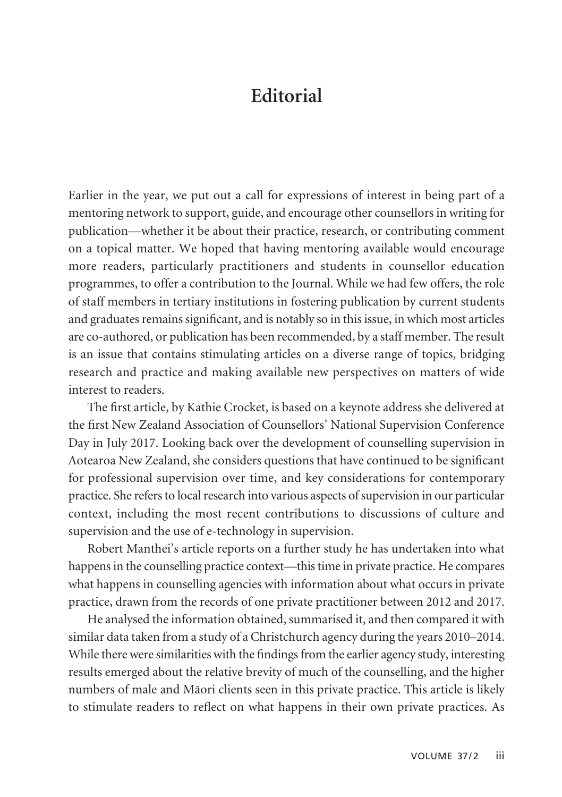## **Editorial**

Earlier in the year, we put out a call for expressions of interest in being part of a mentoring network to support, guide, and encourage other counsellors in writing for publication—whether it be about their practice, research, or contributing comment on a topical matter. We hoped that having mentoring available would encourage more readers, particularly practitioners and students in counsellor education programmes, to offer a contribution to the Journal. While we had few offers, the role of staff members in tertiary institutions in fostering publication by current students and graduates remains significant, and is notably so in this issue, in which most articles are co-authored, or publication has been recommended, by a staff member. The result is an issue that contains stimulating articles on a diverse range of topics, bridging research and practice and making available new perspectives on matters of wide interest to readers.

The first article, by Kathie Crocket, is based on a keynote address she delivered at the first New Zealand Association of Counsellors' National Supervision Conference Day in July 2017. Looking back over the development of counselling supervision in Aotearoa New Zealand, she considers questions that have continued to be significant for professional supervision over time, and key considerations for contemporary practice. She refers to local research into various aspects of supervision in our particular context, including the most recent contributions to discussions of culture and supervision and the use of e-technology in supervision.

Robert Manthei's article reports on a further study he has undertaken into what happens in the counselling practice context—this time in private practice. He compares what happens in counselling agencies with information about what occurs in private practice, drawn from the records of one private practitioner between 2012 and 2017.

He analysed the information obtained, summarised it, and then compared it with similar data taken from a study of a Christchurch agency during the years 2010–2014. While there were similarities with the findings from the earlier agency study, interesting results emerged about the relative brevity of much of the counselling, and the higher numbers of male and Mäori clients seen in this private practice. This article is likely to stimulate readers to reflect on what happens in their own private practices. As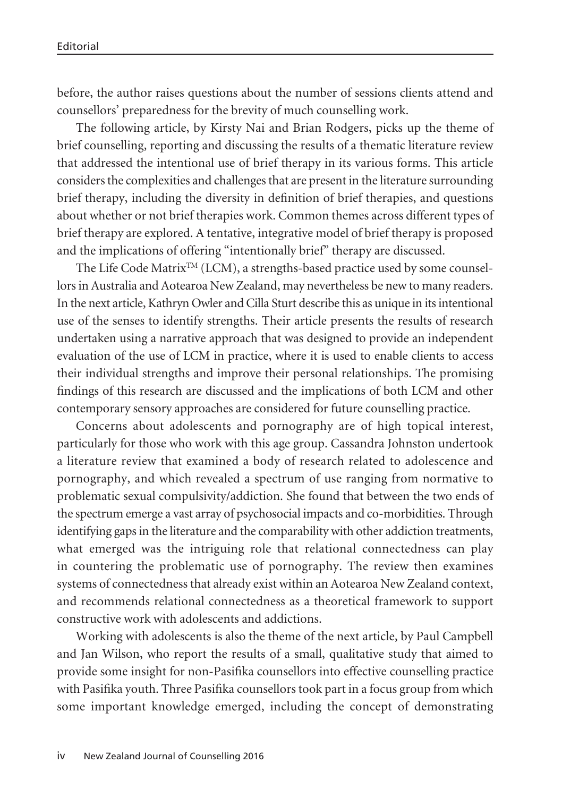before, the author raises questions about the number of sessions clients attend and counsellors' preparedness for the brevity of much counselling work.

The following article, by Kirsty Nai and Brian Rodgers, picks up the theme of brief counselling, reporting and discussing the results of a thematic literature review that addressed the intentional use of brief therapy in its various forms. This article considers the complexities and challenges that are present in the literature surrounding brief therapy, including the diversity in definition of brief therapies, and questions about whether or not brief therapies work. Common themes across different types of brief therapy are explored. A tentative, integrative model of brief therapy is proposed and the implications of offering "intentionally brief" therapy are discussed.

The Life Code Matrix<sup>TM</sup> (LCM), a strengths-based practice used by some counsellors in Australia and Aotearoa New Zealand, may nevertheless be new to many readers. In the next article, Kathryn Owler and Cilla Sturt describe this as unique in its intentional use of the senses to identify strengths. Their article presents the results of research undertaken using a narrative approach that was designed to provide an independent evaluation of the use of LCM in practice, where it is used to enable clients to access their individual strengths and improve their personal relationships. The promising findings of this research are discussed and the implications of both LCM and other contemporary sensory approaches are considered for future counselling practice.

Concerns about adolescents and pornography are of high topical interest, particularly for those who work with this age group. Cassandra Johnston undertook a literature review that examined a body of research related to adolescence and pornography, and which revealed a spectrum of use ranging from normative to problematic sexual compulsivity/addiction. She found that between the two ends of the spectrum emerge a vast array of psychosocial impacts and co-morbidities. Through identifying gaps in the literature and the comparability with other addiction treatments, what emerged was the intriguing role that relational connectedness can play in countering the problematic use of pornography. The review then examines systems of connectedness that already exist within an Aotearoa New Zealand context, and recommends relational connectedness as a theoretical framework to support constructive work with adolescents and addictions.

Working with adolescents is also the theme of the next article, by Paul Campbell and Jan Wilson, who report the results of a small, qualitative study that aimed to provide some insight for non-Pasifika counsellors into effective counselling practice with Pasifika youth. Three Pasifika counsellors took part in a focus group from which some important knowledge emerged, including the concept of demonstrating